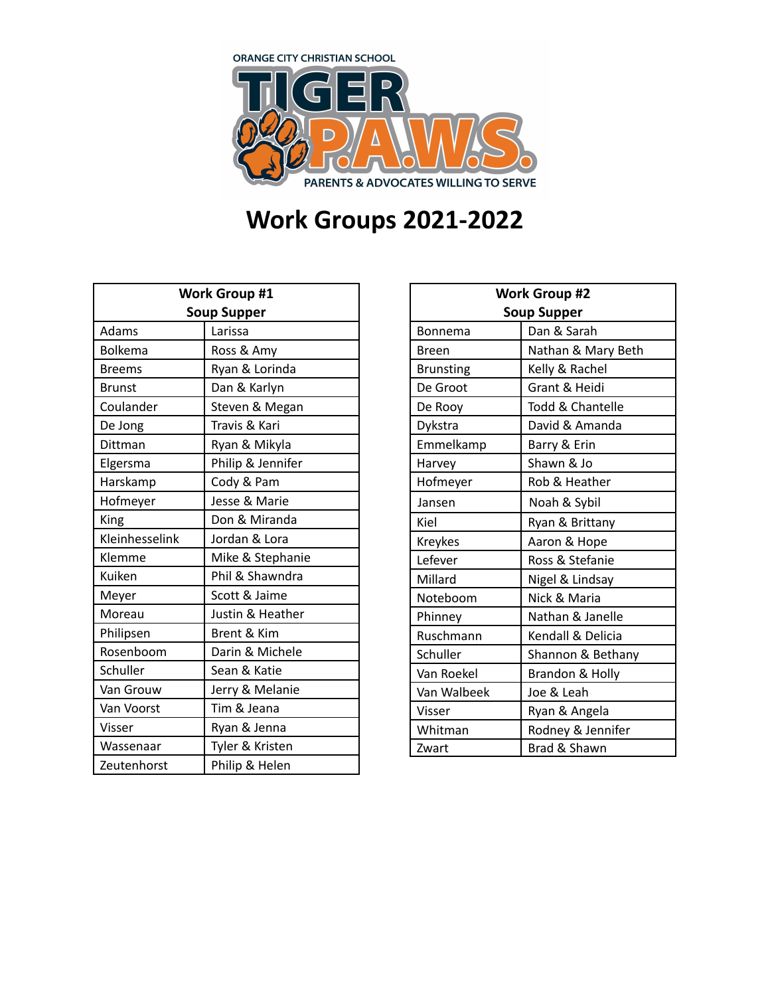

## **Work Groups 2021-2022**

| <b>Work Group #1</b> |                   |  |
|----------------------|-------------------|--|
| <b>Soup Supper</b>   |                   |  |
| Adams                | Larissa           |  |
| <b>Bolkema</b>       | Ross & Amy        |  |
| <b>Breems</b>        | Ryan & Lorinda    |  |
| <b>Brunst</b>        | Dan & Karlyn      |  |
| Coulander            | Steven & Megan    |  |
| De Jong              | Travis & Kari     |  |
| Dittman              | Ryan & Mikyla     |  |
| Elgersma             | Philip & Jennifer |  |
| Harskamp             | Cody & Pam        |  |
| Hofmeyer             | Jesse & Marie     |  |
| King                 | Don & Miranda     |  |
| Kleinhesselink       | Jordan & Lora     |  |
| Klemme               | Mike & Stephanie  |  |
| Kuiken               | Phil & Shawndra   |  |
| Meyer                | Scott & Jaime     |  |
| Moreau               | Justin & Heather  |  |
| Philipsen            | Brent & Kim       |  |
| Rosenboom            | Darin & Michele   |  |
| Schuller             | Sean & Katie      |  |
| Van Grouw            | Jerry & Melanie   |  |
| Van Voorst           | Tim & Jeana       |  |
| Visser               | Ryan & Jenna      |  |
| Wassenaar            | Tyler & Kristen   |  |
| Zeutenhorst          | Philip & Helen    |  |

| <b>Work Group #2</b> |                    |
|----------------------|--------------------|
| <b>Soup Supper</b>   |                    |
| Bonnema              | Dan & Sarah        |
| Breen                | Nathan & Mary Beth |
| <b>Brunsting</b>     | Kelly & Rachel     |
| De Groot             | Grant & Heidi      |
| De Rooy              | Todd & Chantelle   |
| Dykstra              | David & Amanda     |
| Emmelkamp            | Barry & Erin       |
| Harvey               | Shawn & Jo         |
| Hofmeyer             | Rob & Heather      |
| Jansen               | Noah & Sybil       |
| Kiel                 | Ryan & Brittany    |
| Kreykes              | Aaron & Hope       |
| Lefever              | Ross & Stefanie    |
| Millard              | Nigel & Lindsay    |
| Noteboom             | Nick & Maria       |
| Phinney              | Nathan & Janelle   |
| Ruschmann            | Kendall & Delicia  |
| Schuller             | Shannon & Bethany  |
| Van Roekel           | Brandon & Holly    |
| Van Walbeek          | Joe & Leah         |
| Visser               | Ryan & Angela      |
| Whitman              | Rodney & Jennifer  |
| Zwart                | Brad & Shawn       |